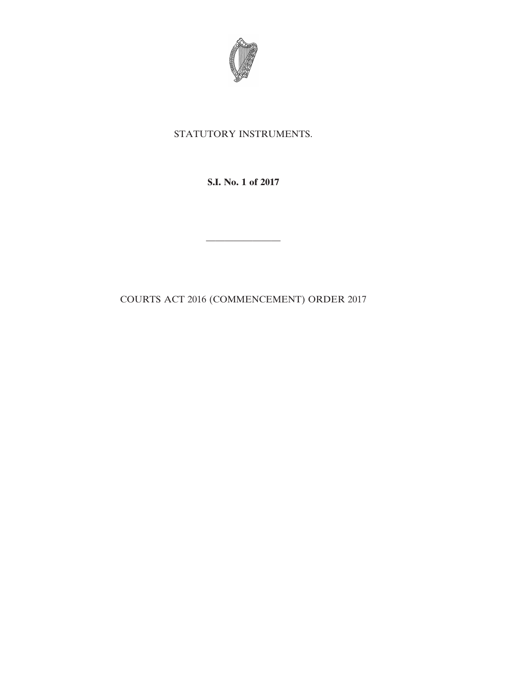

## STATUTORY INSTRUMENTS.

**S.I. No. 1 of 2017**

————————

COURTS ACT 2016 (COMMENCEMENT) ORDER 2017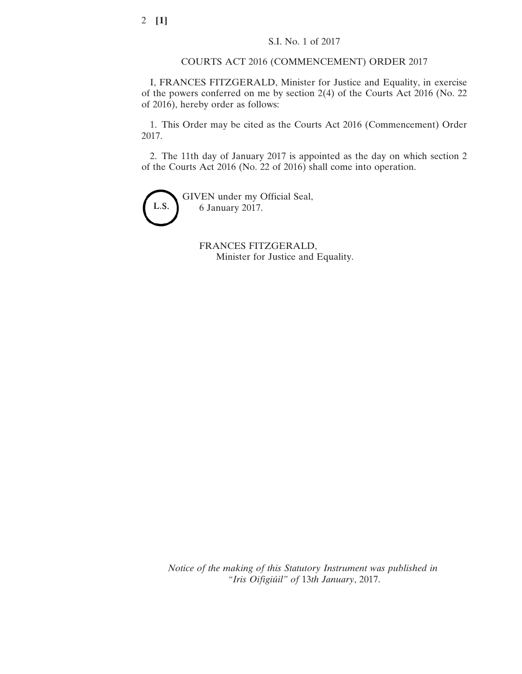COURTS ACT 2016 (COMMENCEMENT) ORDER 2017

I, FRANCES FITZGERALD, Minister for Justice and Equality, in exercise of the powers conferred on me by section 2(4) of the Courts Act 2016 (No. 22 of 2016), hereby order as follows:

1. This Order may be cited as the Courts Act 2016 (Commencement) Order 2017.

2. The 11th day of January 2017 is appointed as the day on which section 2 of the Courts Act 2016 (No. 22 of 2016) shall come into operation.



GIVEN under my Official Seal, 6 January 2017.

> FRANCES FITZGERALD, Minister for Justice and Equality.

*Notice of the making of this Statutory Instrument was published in "Iris Oifigiúil" of* 13*th January*, 2017.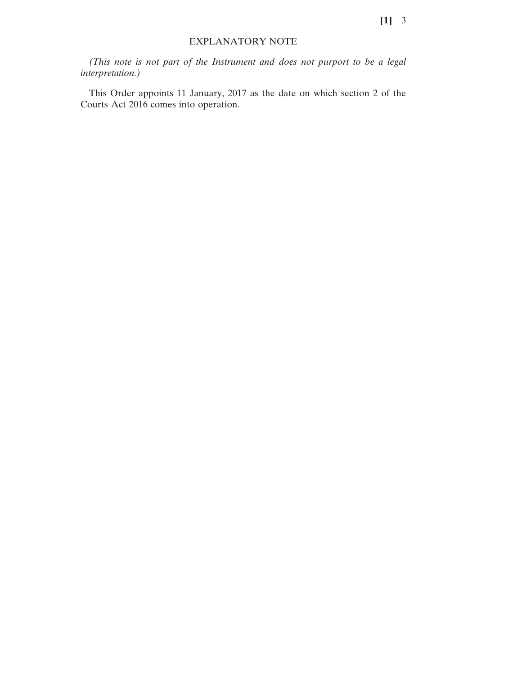## EXPLANATORY NOTE

*(This note is not part of the Instrument and does not purport to be a legal interpretation.)*

This Order appoints 11 January, 2017 as the date on which section 2 of the Courts Act 2016 comes into operation.